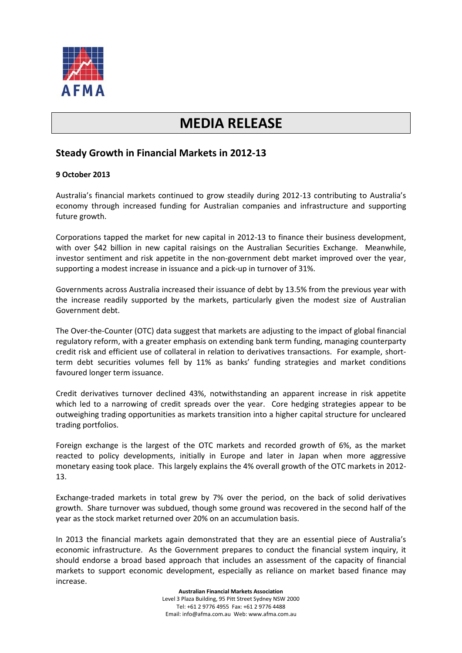

## **MEDIA RELEASE**

## **Steady Growth in Financial Markets in 2012-13**

## **9 October 2013**

Australia's financial markets continued to grow steadily during 2012-13 contributing to Australia's economy through increased funding for Australian companies and infrastructure and supporting future growth.

Corporations tapped the market for new capital in 2012-13 to finance their business development, with over \$42 billion in new capital raisings on the Australian Securities Exchange. Meanwhile, investor sentiment and risk appetite in the non-government debt market improved over the year, supporting a modest increase in issuance and a pick-up in turnover of 31%.

Governments across Australia increased their issuance of debt by 13.5% from the previous year with the increase readily supported by the markets, particularly given the modest size of Australian Government debt.

The Over-the-Counter (OTC) data suggest that markets are adjusting to the impact of global financial regulatory reform, with a greater emphasis on extending bank term funding, managing counterparty credit risk and efficient use of collateral in relation to derivatives transactions. For example, shortterm debt securities volumes fell by 11% as banks' funding strategies and market conditions favoured longer term issuance.

Credit derivatives turnover declined 43%, notwithstanding an apparent increase in risk appetite which led to a narrowing of credit spreads over the year. Core hedging strategies appear to be outweighing trading opportunities as markets transition into a higher capital structure for uncleared trading portfolios.

Foreign exchange is the largest of the OTC markets and recorded growth of 6%, as the market reacted to policy developments, initially in Europe and later in Japan when more aggressive monetary easing took place. This largely explains the 4% overall growth of the OTC markets in 2012- 13.

Exchange-traded markets in total grew by 7% over the period, on the back of solid derivatives growth. Share turnover was subdued, though some ground was recovered in the second half of the year as the stock market returned over 20% on an accumulation basis.

In 2013 the financial markets again demonstrated that they are an essential piece of Australia's economic infrastructure. As the Government prepares to conduct the financial system inquiry, it should endorse a broad based approach that includes an assessment of the capacity of financial markets to support economic development, especially as reliance on market based finance may increase.